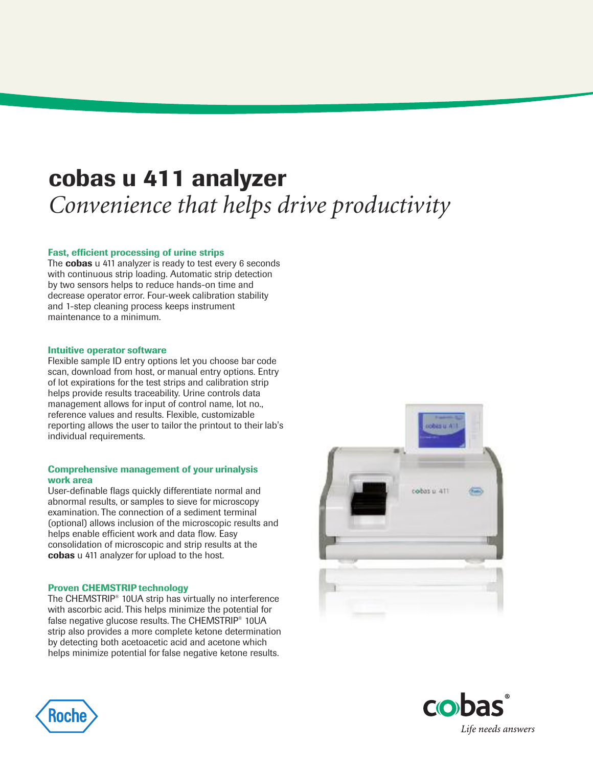## **cobas u 411 analyzer** *Convenience that helps drive productivity*

### **Fast, efficient processing of urine strips**

The **cobas** u 411 analyzer is ready to test every 6 seconds with continuous strip loading. Automatic strip detection by two sensors helps to reduce hands-on time and decrease operator error. Four-week calibration stability and 1-step cleaning process keeps instrument maintenance to a minimum.

#### **Intuitive operator software**

Flexible sample ID entry options let you choose bar code scan, download from host, or manual entry options. Entry of lot expirations for the test strips and calibration strip helps provide results traceability. Urine controls data management allows for input of control name, lot no., reference values and results. Flexible, customizable reporting allows the user to tailor the printout to their lab's individual requirements.

#### **Comprehensive management of your urinalysis work area**

User-definable flags quickly differentiate normal and abnormal results, or samples to sieve for microscopy examination. The connection of a sediment terminal (optional) allows inclusion of the microscopic results and helps enable efficient work and data flow. Easy consolidation of microscopic and strip results at the **cobas** u 411 analyzer for upload to the host.

#### **Proven CHEMSTRIP technology**

The CHEMSTRIP® 10UA strip has virtually no interference with ascorbic acid. This helps minimize the potential for false negative glucose results. The CHEMSTRIP<sup>®</sup> 10UA strip also provides a more complete ketone determination by detecting both acetoacetic acid and acetone which helps minimize potential for false negative ketone results.